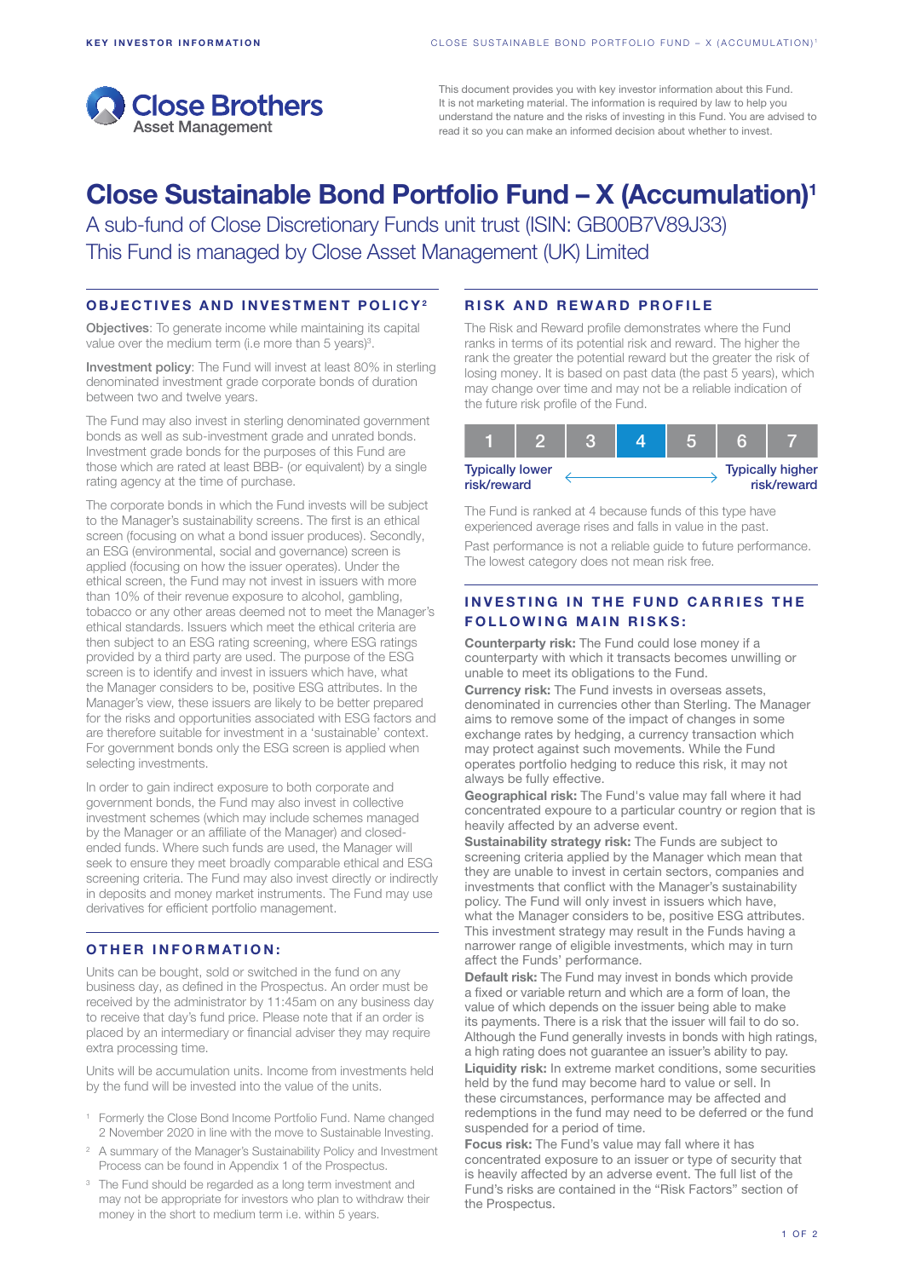

This document provides you with key investor information about this Fund. It is not marketing material. The information is required by law to help you understand the nature and the risks of investing in this Fund. You are advised to read it so you can make an informed decision about whether to invest.

# Close Sustainable Bond Portfolio Fund – X (Accumulation)1

A sub-fund of Close Discretionary Funds unit trust (ISIN: GB00B7V89J33) This Fund is managed by Close Asset Management (UK) Limited

## OBJECTIVES AND INVESTMENT POLICY2

Objectives: To generate income while maintaining its capital value over the medium term (i.e more than 5 years)<sup>3</sup>.

Investment policy: The Fund will invest at least 80% in sterling denominated investment grade corporate bonds of duration between two and twelve years.

The Fund may also invest in sterling denominated government bonds as well as sub-investment grade and unrated bonds. Investment grade bonds for the purposes of this Fund are those which are rated at least BBB- (or equivalent) by a single rating agency at the time of purchase.

The corporate bonds in which the Fund invests will be subject to the Manager's sustainability screens. The first is an ethical screen (focusing on what a bond issuer produces). Secondly, an ESG (environmental, social and governance) screen is applied (focusing on how the issuer operates). Under the ethical screen, the Fund may not invest in issuers with more than 10% of their revenue exposure to alcohol, gambling, tobacco or any other areas deemed not to meet the Manager's ethical standards. Issuers which meet the ethical criteria are then subject to an ESG rating screening, where ESG ratings provided by a third party are used. The purpose of the ESG screen is to identify and invest in issuers which have, what the Manager considers to be, positive ESG attributes. In the Manager's view, these issuers are likely to be better prepared for the risks and opportunities associated with ESG factors and are therefore suitable for investment in a 'sustainable' context. For government bonds only the ESG screen is applied when selecting investments.

In order to gain indirect exposure to both corporate and government bonds, the Fund may also invest in collective investment schemes (which may include schemes managed by the Manager or an affiliate of the Manager) and closedended funds. Where such funds are used, the Manager will seek to ensure they meet broadly comparable ethical and ESG screening criteria. The Fund may also invest directly or indirectly in deposits and money market instruments. The Fund may use derivatives for efficient portfolio management.

### OTHER INFORMATION:

Units can be bought, sold or switched in the fund on any business day, as defined in the Prospectus. An order must be received by the administrator by 11:45am on any business day to receive that day's fund price. Please note that if an order is placed by an intermediary or financial adviser they may require extra processing time.

Units will be accumulation units. Income from investments held by the fund will be invested into the value of the units.

- <sup>1</sup> Formerly the Close Bond Income Portfolio Fund. Name changed 2 November 2020 in line with the move to Sustainable Investing.
- <sup>2</sup> A summary of the Manager's Sustainability Policy and Investment Process can be found in Appendix 1 of the Prospectus.
- <sup>3</sup> The Fund should be regarded as a long term investment and may not be appropriate for investors who plan to withdraw their money in the short to medium term i.e. within 5 years.

## RISK AND REWARD PROFILE

The Risk and Reward profile demonstrates where the Fund ranks in terms of its potential risk and reward. The higher the rank the greater the potential reward but the greater the risk of losing money. It is based on past data (the past 5 years), which may change over time and may not be a reliable indication of the future risk profile of the Fund.

| <b>Typically lower</b><br>risk/reward |  |  |  |  | <b>Typically higher</b><br>risk/reward |
|---------------------------------------|--|--|--|--|----------------------------------------|

The Fund is ranked at 4 because funds of this type have experienced average rises and falls in value in the past.

Past performance is not a reliable guide to future performance. The lowest category does not mean risk free.

# INVESTING IN THE FUND CARRIES THE **FOLLOWING MAIN RISKS:**

Counterparty risk: The Fund could lose money if a counterparty with which it transacts becomes unwilling or unable to meet its obligations to the Fund.

Currency risk: The Fund invests in overseas assets, denominated in currencies other than Sterling. The Manager aims to remove some of the impact of changes in some exchange rates by hedging, a currency transaction which may protect against such movements. While the Fund operates portfolio hedging to reduce this risk, it may not always be fully effective.

Geographical risk: The Fund's value may fall where it had concentrated expoure to a particular country or region that is heavily affected by an adverse event.

Sustainability strategy risk: The Funds are subject to screening criteria applied by the Manager which mean that they are unable to invest in certain sectors, companies and investments that conflict with the Manager's sustainability policy. The Fund will only invest in issuers which have, what the Manager considers to be, positive ESG attributes. This investment strategy may result in the Funds having a narrower range of eligible investments, which may in turn affect the Funds' performance.

Default risk: The Fund may invest in bonds which provide a fixed or variable return and which are a form of loan, the value of which depends on the issuer being able to make its payments. There is a risk that the issuer will fail to do so. Although the Fund generally invests in bonds with high ratings, a high rating does not guarantee an issuer's ability to pay.

Liquidity risk: In extreme market conditions, some securities held by the fund may become hard to value or sell. In these circumstances, performance may be affected and redemptions in the fund may need to be deferred or the fund suspended for a period of time.

Focus risk: The Fund's value may fall where it has concentrated exposure to an issuer or type of security that is heavily affected by an adverse event. The full list of the Fund's risks are contained in the "Risk Factors" section of the Prospectus.